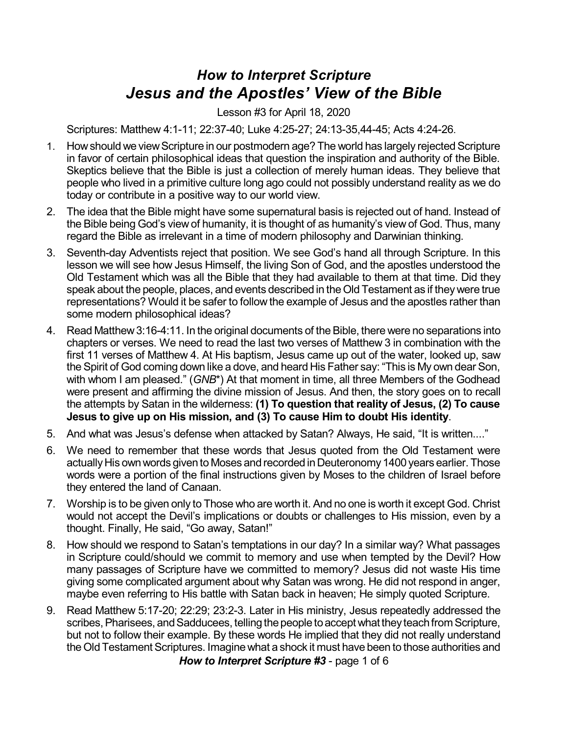## *How to Interpret Scripture Jesus and the Apostles' View of the Bible*

Lesson #3 for April 18, 2020

Scriptures: Matthew 4:1-11; 22:37-40; Luke 4:25-27; 24:13-35,44-45; Acts 4:24-26.

- 1. How should we view Scripture in our postmodern age? The world has largely rejected Scripture in favor of certain philosophical ideas that question the inspiration and authority of the Bible. Skeptics believe that the Bible is just a collection of merely human ideas. They believe that people who lived in a primitive culture long ago could not possibly understand reality as we do today or contribute in a positive way to our world view.
- 2. The idea that the Bible might have some supernatural basis is rejected out of hand. Instead of the Bible being God's view of humanity, it is thought of as humanity's view of God. Thus, many regard the Bible as irrelevant in a time of modern philosophy and Darwinian thinking.
- 3. Seventh-day Adventists reject that position. We see God's hand all through Scripture. In this lesson we will see how Jesus Himself, the living Son of God, and the apostles understood the Old Testament which was all the Bible that they had available to them at that time. Did they speak about the people, places, and events described in theOld Testament as if they were true representations? Would it be safer to follow the example of Jesus and the apostles rather than some modern philosophical ideas?
- 4. Read Matthew 3:16-4:11. In the original documents of the Bible, there were no separations into chapters or verses. We need to read the last two verses of Matthew 3 in combination with the first 11 verses of Matthew 4. At His baptism, Jesus came up out of the water, looked up, saw the Spirit of God coming down like a dove, and heard His Father say: "This is My own dear Son, with whom I am pleased." (*GNB*\*) At that moment in time, all three Members of the Godhead were present and affirming the divine mission of Jesus. And then, the story goes on to recall the attempts by Satan in the wilderness: **(1) To question that reality of Jesus, (2) To cause Jesus to give up on His mission, and (3) To cause Him to doubt His identity**.
- 5. And what was Jesus's defense when attacked by Satan? Always, He said, "It is written...."
- 6. We need to remember that these words that Jesus quoted from the Old Testament were actually His own words given to Moses and recorded in Deuteronomy 1400 years earlier. Those words were a portion of the final instructions given by Moses to the children of Israel before they entered the land of Canaan.
- 7. Worship is to be given only to Those who are worth it. And no one is worth it except God. Christ would not accept the Devil's implications or doubts or challenges to His mission, even by a thought. Finally, He said, "Go away, Satan!"
- 8. How should we respond to Satan's temptations in our day? In a similar way? What passages in Scripture could/should we commit to memory and use when tempted by the Devil? How many passages of Scripture have we committed to memory? Jesus did not waste His time giving some complicated argument about why Satan was wrong. He did not respond in anger, maybe even referring to His battle with Satan back in heaven; He simply quoted Scripture.
- 9. Read Matthew 5:17-20; 22:29; 23:2-3. Later in His ministry, Jesus repeatedly addressed the scribes, Pharisees, and Sadducees, telling the people to accept what they teach from Scripture, but not to follow their example. By these words He implied that they did not really understand the Old Testament Scriptures. Imagine what a shock it must have been to those authorities and

*How to Interpret Scripture #3* - page 1 of 6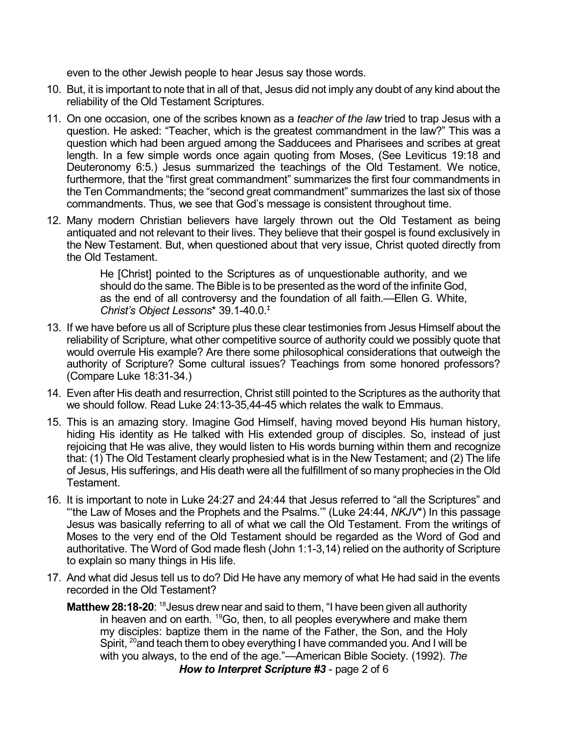even to the other Jewish people to hear Jesus say those words.

- 10. But, it is important to note that in all of that, Jesus did not imply any doubt of any kind about the reliability of the Old Testament Scriptures.
- 11. On one occasion, one of the scribes known as a *teacher of the law* tried to trap Jesus with a question. He asked: "Teacher, which is the greatest commandment in the law?" This was a question which had been argued among the Sadducees and Pharisees and scribes at great length. In a few simple words once again quoting from Moses, (See Leviticus 19:18 and Deuteronomy 6:5.) Jesus summarized the teachings of the Old Testament. We notice, furthermore, that the "first great commandment" summarizes the first four commandments in the Ten Commandments; the "second great commandment" summarizes the last six of those commandments. Thus, we see that God's message is consistent throughout time.
- 12. Many modern Christian believers have largely thrown out the Old Testament as being antiquated and not relevant to their lives. They believe that their gospel is found exclusively in the New Testament. But, when questioned about that very issue, Christ quoted directly from the Old Testament.

He [Christ] pointed to the Scriptures as of unquestionable authority, and we should do the same. The Bible is to be presented as the word of the infinite God, as the end of all controversy and the foundation of all faith.—Ellen G. White, *Christ's Object Lessons*\* 39.1-40.0. ‡

- 13. If we have before us all of Scripture plus these clear testimonies from Jesus Himself about the reliability of Scripture, what other competitive source of authority could we possibly quote that would overrule His example? Are there some philosophical considerations that outweigh the authority of Scripture? Some cultural issues? Teachings from some honored professors? (Compare Luke 18:31-34.)
- 14. Even after His death and resurrection, Christ still pointed to the Scriptures as the authority that we should follow. Read Luke 24:13-35,44-45 which relates the walk to Emmaus.
- 15. This is an amazing story. Imagine God Himself, having moved beyond His human history, hiding His identity as He talked with His extended group of disciples. So, instead of just rejoicing that He was alive, they would listen to His words burning within them and recognize that: (1) The Old Testament clearly prophesied what is in the New Testament; and (2) The life of Jesus, His sufferings, and His death were all the fulfillment of so many prophecies in the Old Testament.
- 16. It is important to note in Luke 24:27 and 24:44 that Jesus referred to "all the Scriptures" and "'the Law of Moses and the Prophets and the Psalms.'" (Luke 24:44, *NKJV*\*) In this passage Jesus was basically referring to all of what we call the Old Testament. From the writings of Moses to the very end of the Old Testament should be regarded as the Word of God and authoritative. The Word of God made flesh (John 1:1-3,14) relied on the authority of Scripture to explain so many things in His life.
- 17. And what did Jesus tell us to do? Did He have any memory of what He had said in the events recorded in the Old Testament?
	- **Matthew 28:18-20**: <sup>18</sup> Jesus drew near and said to them, "I have been given all authority in heaven and on earth. <sup>19</sup>Go, then, to all peoples everywhere and make them my disciples: baptize them in the name of the Father, the Son, and the Holy Spirit, <sup>20</sup> and teach them to obey everything I have commanded you. And I will be with you always, to the end of the age."—American Bible Society. (1992). *The How to Interpret Scripture #3* - page 2 of 6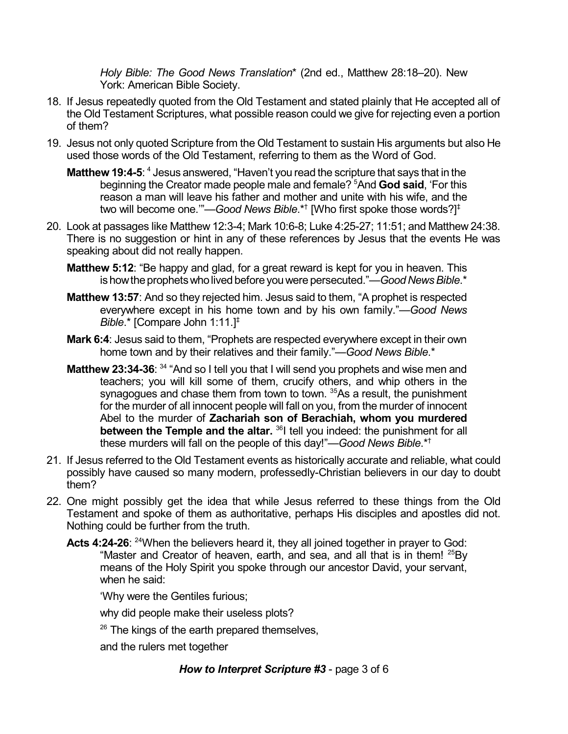*Holy Bible: The Good News Translation*\* (2nd ed., Matthew 28:18–20). New York: American Bible Society.

- 18. If Jesus repeatedly quoted from the Old Testament and stated plainly that He accepted all of the Old Testament Scriptures, what possible reason could we give for rejecting even a portion of them?
- 19. Jesus not only quoted Scripture from the Old Testament to sustain His arguments but also He used those words of the Old Testament, referring to them as the Word of God.
	- **Matthew 19:4-5**: <sup>4</sup> Jesus answered, "Haven't you read the scripture that says that in the beginning the Creator made people male and female? <sup>5</sup>And **God said**, 'For this reason a man will leave his father and mother and unite with his wife, and the two will become one.'"—*Good News Bible*.\* † [Who first spoke those words?] ‡
- 20. Look at passages like Matthew 12:3-4; Mark 10:6-8; Luke 4:25-27; 11:51; and Matthew 24:38. There is no suggestion or hint in any of these references by Jesus that the events He was speaking about did not really happen.
	- **Matthew 5:12**: "Be happy and glad, for a great reward is kept for you in heaven. This is how the prophets who lived before you were persecuted."—*Good News Bible*.\*
	- **Matthew 13:57**: And so they rejected him. Jesus said to them, "A prophet is respected everywhere except in his home town and by his own family."—*Good News Bible*.\* [Compare John 1:11.] ‡
	- **Mark 6:4**: Jesus said to them, "Prophets are respected everywhere except in their own home town and by their relatives and their family."—*Good News Bible*.\*
	- **Matthew 23:34-36**: <sup>34</sup> "And so I tell you that I will send you prophets and wise men and teachers; you will kill some of them, crucify others, and whip others in the synagogues and chase them from town to town. <sup>35</sup>As a result, the punishment for the murder of all innocent people will fall on you, from the murder of innocent Abel to the murder of **Zachariah son of Berachiah, whom you murdered between the Temple and the altar.** <sup>36</sup>l tell you indeed: the punishment for all these murders will fall on the people of this day!"—*Good News Bible*.\* †
- 21. If Jesus referred to the Old Testament events as historically accurate and reliable, what could possibly have caused so many modern, professedly-Christian believers in our day to doubt them?
- 22. One might possibly get the idea that while Jesus referred to these things from the Old Testament and spoke of them as authoritative, perhaps His disciples and apostles did not. Nothing could be further from the truth.
	- Acts 4:24-26: <sup>24</sup>When the believers heard it, they all joined together in prayer to God: "Master and Creator of heaven, earth, and sea, and all that is in them!  $^{25}$ By means of the Holy Spirit you spoke through our ancestor David, your servant, when he said:

'Why were the Gentiles furious;

why did people make their useless plots?

 $26$  The kings of the earth prepared themselves,

and the rulers met together

## *How to Interpret Scripture #3* - page 3 of 6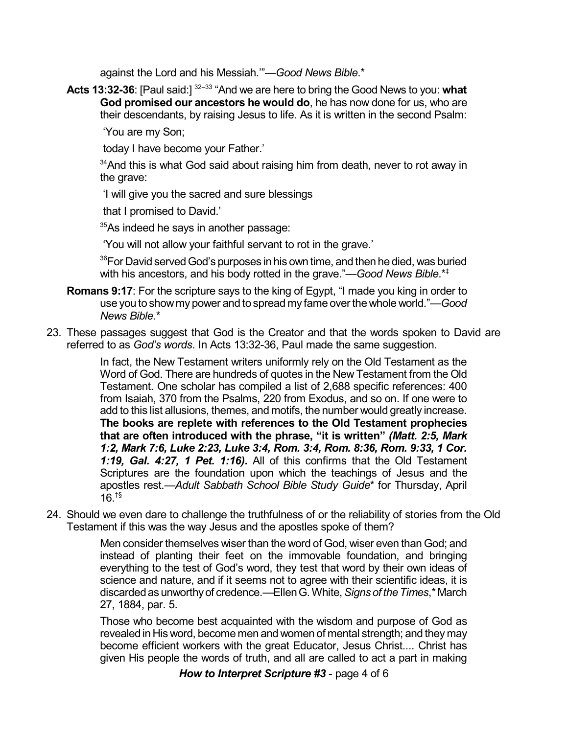against the Lord and his Messiah.'"—*Good News Bible*.\*

**Acts 13:32-36**: [Paul said:] 32–33 "And we are here to bring the Good News to you: **what God promised our ancestors he would do**, he has now done for us, who are their descendants, by raising Jesus to life. As it is written in the second Psalm:

'You are my Son;

today I have become your Father.'

 $34$ And this is what God said about raising him from death, never to rot away in the grave:

'I will give you the sacred and sure blessings

that I promised to David.'

 $35$ As indeed he says in another passage:

'You will not allow your faithful servant to rot in the grave.'

 $^{36}$ For David served God's purposes in his own time, and then he died, was buried with his ancestors, and his body rotted in the grave."—*Good News Bible*.\* ‡

- **Romans 9:17**: For the scripture says to the king of Egypt, "I made you king in order to use you to showmy power and tospread my fame overthe whole world."—*Good News Bible*.\*
- 23. These passages suggest that God is the Creator and that the words spoken to David are referred to as *God's words*. In Acts 13:32-36, Paul made the same suggestion.

In fact, the New Testament writers uniformly rely on the Old Testament as the Word of God. There are hundreds of quotes in the New Testament from the Old Testament. One scholar has compiled a list of 2,688 specific references: 400 from Isaiah, 370 from the Psalms, 220 from Exodus, and so on. If one were to add to this list allusions, themes, and motifs, the number would greatly increase. **The books are replete with references to the Old Testament prophecies that are often introduced with the phrase, "it is written"** *(Matt. 2:5, Mark 1:2, Mark 7:6, Luke 2:23, Luke 3:4, Rom. 3:4, Rom. 8:36, Rom. 9:33, 1 Cor. 1:19, Gal. 4:27, 1 Pet. 1:16)***.** All of this confirms that the Old Testament Scriptures are the foundation upon which the teachings of Jesus and the apostles rest.—*Adult Sabbath School Bible Study Guide*\* for Thursday, April 16. †§

24. Should we even dare to challenge the truthfulness of or the reliability of stories from the Old Testament if this was the way Jesus and the apostles spoke of them?

> Men consider themselves wiser than the word of God, wiser even than God; and instead of planting their feet on the immovable foundation, and bringing everything to the test of God's word, they test that word by their own ideas of science and nature, and if it seems not to agree with their scientific ideas, it is discardedas unworthyof credence.—EllenG.White,*Signs of theTimes*,\* March 27, 1884, par. 5.

> Those who become best acquainted with the wisdom and purpose of God as revealed in His word, become men and women of mental strength; and they may become efficient workers with the great Educator, Jesus Christ.... Christ has given His people the words of truth, and all are called to act a part in making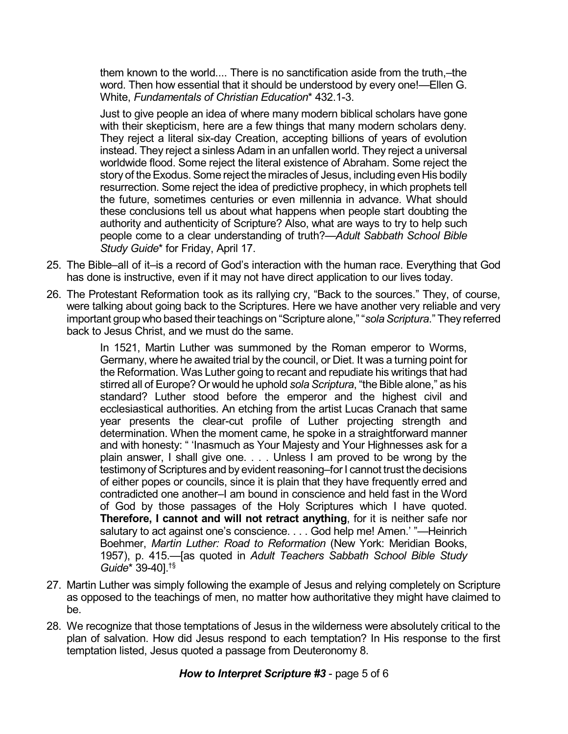them known to the world.... There is no sanctification aside from the truth,–the word. Then how essential that it should be understood by every one!—Ellen G. White, *Fundamentals of Christian Education*\* 432.1-3.

Just to give people an idea of where many modern biblical scholars have gone with their skepticism, here are a few things that many modern scholars deny. They reject a literal six-day Creation, accepting billions of years of evolution instead. They reject a sinless Adam in an unfallen world. They reject a universal worldwide flood. Some reject the literal existence of Abraham. Some reject the story of the Exodus. Some reject the miracles of Jesus, including even His bodily resurrection. Some reject the idea of predictive prophecy, in which prophets tell the future, sometimes centuries or even millennia in advance. What should these conclusions tell us about what happens when people start doubting the authority and authenticity of Scripture? Also, what are ways to try to help such people come to a clear understanding of truth?—*Adult Sabbath School Bible Study Guide*\* for Friday, April 17.

- 25. The Bible–all of it–is a record of God's interaction with the human race. Everything that God has done is instructive, even if it may not have direct application to our lives today.
- 26. The Protestant Reformation took as its rallying cry, "Back to the sources." They, of course, were talking about going back to the Scriptures. Here we have another very reliable and very important group who based their teachings on "Scripture alone," "sola Scriptura." They referred back to Jesus Christ, and we must do the same.

In 1521, Martin Luther was summoned by the Roman emperor to Worms, Germany, where he awaited trial by the council, or Diet. It was a turning point for the Reformation. Was Luther going to recant and repudiate his writings that had stirred all of Europe? Or would he uphold *sola Scriptura*, "the Bible alone," as his standard? Luther stood before the emperor and the highest civil and ecclesiastical authorities. An etching from the artist Lucas Cranach that same year presents the clear-cut profile of Luther projecting strength and determination. When the moment came, he spoke in a straightforward manner and with honesty: " 'Inasmuch as Your Majesty and Your Highnesses ask for a plain answer, I shall give one. . . . Unless I am proved to be wrong by the testimony of Scriptures and by evident reasoning–for I cannot trust the decisions of either popes or councils, since it is plain that they have frequently erred and contradicted one another–I am bound in conscience and held fast in the Word of God by those passages of the Holy Scriptures which I have quoted. **Therefore, I cannot and will not retract anything**, for it is neither safe nor salutary to act against one's conscience. . . . God help me! Amen.' "—Heinrich Boehmer, *Martin Luther: Road to Reformation* (New York: Meridian Books, 1957), p. 415.—[as quoted in *Adult Teachers Sabbath School Bible Study Guide*\* 39-40]. †§

- 27. Martin Luther was simply following the example of Jesus and relying completely on Scripture as opposed to the teachings of men, no matter how authoritative they might have claimed to be.
- 28. We recognize that those temptations of Jesus in the wilderness were absolutely critical to the plan of salvation. How did Jesus respond to each temptation? In His response to the first temptation listed, Jesus quoted a passage from Deuteronomy 8.

*How to Interpret Scripture #3* - page 5 of 6